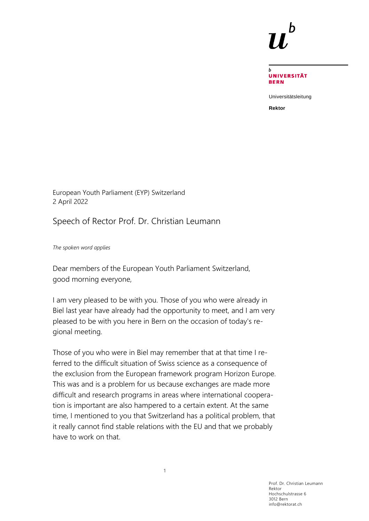

**UNIVERSITÄT BERN** 

Universitätsleitung

**Rektor**

European Youth Parliament (EYP) Switzerland 2 April 2022

Speech of Rector Prof. Dr. Christian Leumann

*The spoken word applies*

Dear members of the European Youth Parliament Switzerland, good morning everyone,

I am very pleased to be with you. Those of you who were already in Biel last year have already had the opportunity to meet, and I am very pleased to be with you here in Bern on the occasion of today's regional meeting.

Those of you who were in Biel may remember that at that time I referred to the difficult situation of Swiss science as a consequence of the exclusion from the European framework program Horizon Europe. This was and is a problem for us because exchanges are made more difficult and research programs in areas where international cooperation is important are also hampered to a certain extent. At the same time, I mentioned to you that Switzerland has a political problem, that it really cannot find stable relations with the EU and that we probably have to work on that.

> Prof. Dr. Christian Leumann Rektor Hochschulstrasse 6 3012 Bern info@rektorat.ch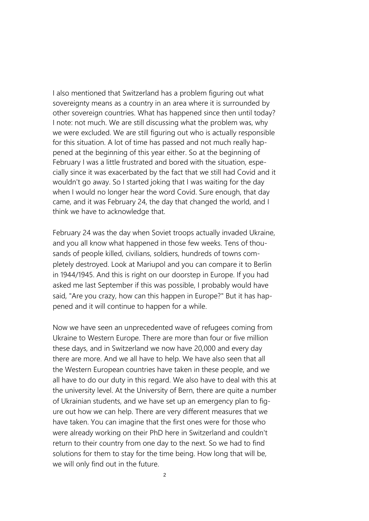I also mentioned that Switzerland has a problem figuring out what sovereignty means as a country in an area where it is surrounded by other sovereign countries. What has happened since then until today? I note: not much. We are still discussing what the problem was, why we were excluded. We are still figuring out who is actually responsible for this situation. A lot of time has passed and not much really happened at the beginning of this year either. So at the beginning of February I was a little frustrated and bored with the situation, especially since it was exacerbated by the fact that we still had Covid and it wouldn't go away. So I started joking that I was waiting for the day when I would no longer hear the word Covid. Sure enough, that day came, and it was February 24, the day that changed the world, and I think we have to acknowledge that.

February 24 was the day when Soviet troops actually invaded Ukraine, and you all know what happened in those few weeks. Tens of thousands of people killed, civilians, soldiers, hundreds of towns completely destroyed. Look at Mariupol and you can compare it to Berlin in 1944/1945. And this is right on our doorstep in Europe. If you had asked me last September if this was possible, I probably would have said, "Are you crazy, how can this happen in Europe?" But it has happened and it will continue to happen for a while.

Now we have seen an unprecedented wave of refugees coming from Ukraine to Western Europe. There are more than four or five million these days, and in Switzerland we now have 20,000 and every day there are more. And we all have to help. We have also seen that all the Western European countries have taken in these people, and we all have to do our duty in this regard. We also have to deal with this at the university level. At the University of Bern, there are quite a number of Ukrainian students, and we have set up an emergency plan to figure out how we can help. There are very different measures that we have taken. You can imagine that the first ones were for those who were already working on their PhD here in Switzerland and couldn't return to their country from one day to the next. So we had to find solutions for them to stay for the time being. How long that will be, we will only find out in the future.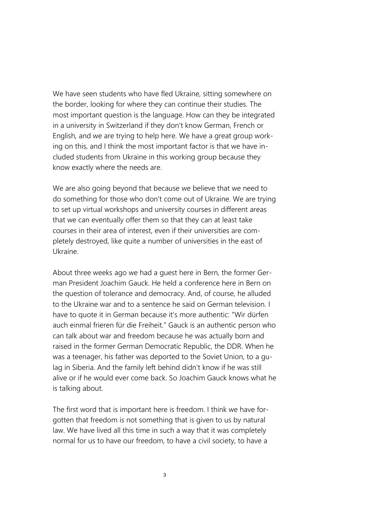We have seen students who have fled Ukraine, sitting somewhere on the border, looking for where they can continue their studies. The most important question is the language. How can they be integrated in a university in Switzerland if they don't know German, French or English, and we are trying to help here. We have a great group working on this, and I think the most important factor is that we have included students from Ukraine in this working group because they know exactly where the needs are.

We are also going beyond that because we believe that we need to do something for those who don't come out of Ukraine. We are trying to set up virtual workshops and university courses in different areas that we can eventually offer them so that they can at least take courses in their area of interest, even if their universities are completely destroyed, like quite a number of universities in the east of Ukraine.

About three weeks ago we had a guest here in Bern, the former German President Joachim Gauck. He held a conference here in Bern on the question of tolerance and democracy. And, of course, he alluded to the Ukraine war and to a sentence he said on German television. I have to quote it in German because it's more authentic: "Wir dürfen auch einmal frieren für die Freiheit." Gauck is an authentic person who can talk about war and freedom because he was actually born and raised in the former German Democratic Republic, the DDR. When he was a teenager, his father was deported to the Soviet Union, to a gulag in Siberia. And the family left behind didn't know if he was still alive or if he would ever come back. So Joachim Gauck knows what he is talking about.

The first word that is important here is freedom. I think we have forgotten that freedom is not something that is given to us by natural law. We have lived all this time in such a way that it was completely normal for us to have our freedom, to have a civil society, to have a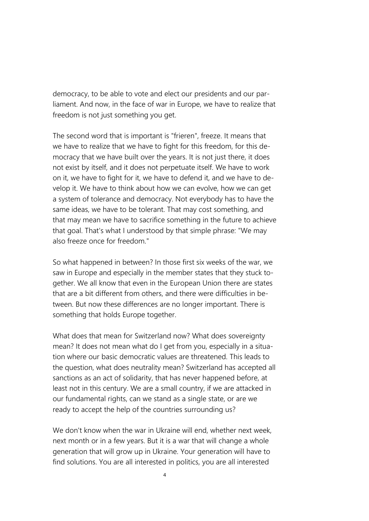democracy, to be able to vote and elect our presidents and our parliament. And now, in the face of war in Europe, we have to realize that freedom is not just something you get.

The second word that is important is "frieren", freeze. It means that we have to realize that we have to fight for this freedom, for this democracy that we have built over the years. It is not just there, it does not exist by itself, and it does not perpetuate itself. We have to work on it, we have to fight for it, we have to defend it, and we have to develop it. We have to think about how we can evolve, how we can get a system of tolerance and democracy. Not everybody has to have the same ideas, we have to be tolerant. That may cost something, and that may mean we have to sacrifice something in the future to achieve that goal. That's what I understood by that simple phrase: "We may also freeze once for freedom."

So what happened in between? In those first six weeks of the war, we saw in Europe and especially in the member states that they stuck together. We all know that even in the European Union there are states that are a bit different from others, and there were difficulties in between. But now these differences are no longer important. There is something that holds Europe together.

What does that mean for Switzerland now? What does sovereignty mean? It does not mean what do I get from you, especially in a situation where our basic democratic values are threatened. This leads to the question, what does neutrality mean? Switzerland has accepted all sanctions as an act of solidarity, that has never happened before, at least not in this century. We are a small country, if we are attacked in our fundamental rights, can we stand as a single state, or are we ready to accept the help of the countries surrounding us?

We don't know when the war in Ukraine will end, whether next week, next month or in a few years. But it is a war that will change a whole generation that will grow up in Ukraine. Your generation will have to find solutions. You are all interested in politics, you are all interested